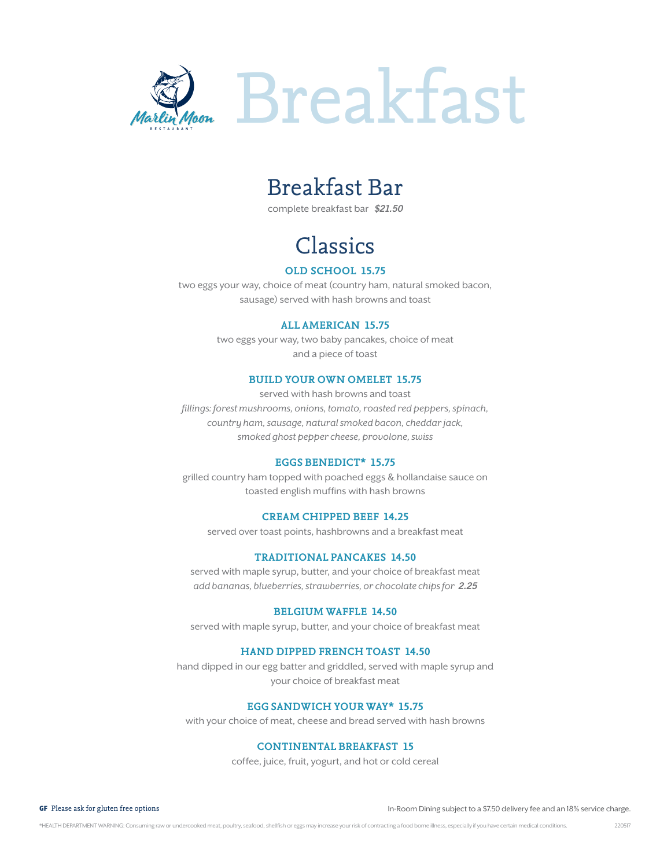

## Breakfast Bar

complete breakfast bar *\$21.50*

# Classics

### **old school 15.75**

two eggs your way, choice of meat (country ham, natural smoked bacon, sausage) served with hash browns and toast

### **all american 15.75**

two eggs your way, two baby pancakes, choice of meat and a piece of toast

### **build your own omelet 15.75**

served with hash browns and toast fillings: forest mushrooms, onions, tomato, roasted red peppers, spinach, country ham, sausage, natural smoked bacon, cheddar jack, smoked ghost pepper cheese, provolone, swiss

### **eggs benedict\* 15.75**

grilled country ham topped with poached eggs & hollandaise sauce on toasted english muffins with hash browns

### **cream chipped beef 14.25**

served over toast points, hashbrowns and a breakfast meat

### **traditional pancakes 14.50**

served with maple syrup, butter, and your choice of breakfast meat add bananas, blueberries, strawberries, or chocolate chips for *2.25*

### **belgium waffle 14.50**

served with maple syrup, butter, and your choice of breakfast meat

### **hand dipped french toast 14.50**

hand dipped in our egg batter and griddled, served with maple syrup and your choice of breakfast meat

### **egg sandwich your way\* 15.75**

with your choice of meat, cheese and bread served with hash browns

### **continental breakfast 15**

coffee, juice, fruit, yogurt, and hot or cold cereal

GF Please ask for gluten free options In-Room Dining subject to a \$7.50 delivery fee and an 18% service charge.